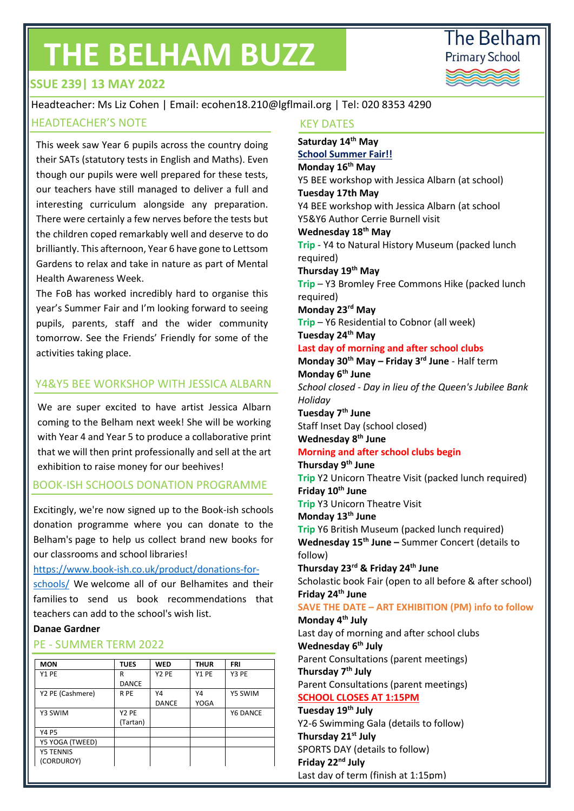# **THE BELHAM BUZZ**



# **ISSUE 239| 13 MAY 2022**

Headteacher: Ms Liz Cohen | Email: ecohen18.210@lgflmail.org | Tel: 020 8353 4290 HEADTEACHER'S NOTE THE CONTROL TO A REPORT OF THE REPORT OF THE REPORT OF THE REPORT OF THE REPORT OF THE REPORT OF THE REPORT OF THE REPORT OF THE REPORT OF THE REPORT OF THE REPORT OF THE REPORT OF THE REPORT OF THE REPO

This week saw Year 6 pupils across the country doing their SATs (statutory tests in English and Maths). Even though our pupils were well prepared for these tests, our teachers have still managed to deliver a full and interesting curriculum alongside any preparation. There were certainly a few nerves before the tests but the children coped remarkably well and deserve to do brilliantly. This afternoon, Year 6 have gone to Lettsom Gardens to relax and take in nature as part of Mental Health Awareness Week.

The FoB has worked incredibly hard to organise this year's Summer Fair and I'm looking forward to seeing pupils, parents, staff and the wider community tomorrow. See the Friends' Friendly for some of the activities taking place.

#### Y4&Y5 BEE WORKSHOP WITH JESSICA ALBARN

We are super excited to have artist Jessica Albarn coming to the Belham next week! She will be working with Year 4 and Year 5 to produce a collaborative print that we will then print professionally and sell at the art exhibition to raise money for our beehives!

#### BOOK-ISH SCHOOLS DONATION PROGRAMME

Excitingly, we're now signed up to the Book-ish schools donation programme where you can donate to the Belham's page to help us collect brand new books for our classrooms and school libraries!

#### [https://www.book-ish.co.uk/product/donations-for-](https://www.book-ish.co.uk/product/donations-for-schools/)

[schools/](https://www.book-ish.co.uk/product/donations-for-schools/) We welcome all of our Belhamites and their families to send us book recommendations that teachers can add to the school's wish list.

#### **Danae Gardner**

#### PE - SUMMER TERM 2022

| <b>MON</b>       | <b>TUES</b>       | <b>WED</b>        | <b>THUR</b> | <b>FRI</b> |
|------------------|-------------------|-------------------|-------------|------------|
| Y1 PE            | R                 | Y <sub>2</sub> PE | Y1 PE       | Y3 PE      |
|                  | <b>DANCE</b>      |                   |             |            |
| Y2 PE (Cashmere) | R PE              | Υ4                | Υ4          | Y5 SWIM    |
|                  |                   | <b>DANCE</b>      | <b>YOGA</b> |            |
| Y3 SWIM          | Y <sub>2</sub> PE |                   |             | Y6 DANCE   |
|                  | (Tartan)          |                   |             |            |
| Y4 P5            |                   |                   |             |            |
| Y5 YOGA (TWEED)  |                   |                   |             |            |
| <b>Y5 TENNIS</b> |                   |                   |             |            |
| (CORDUROY)       |                   |                   |             |            |

**Saturday 14th May School Summer Fair!! Monday 16th May** Y5 BEE workshop with Jessica Albarn (at school) **Tuesday 17th May** Y4 BEE workshop with Jessica Albarn (at school Y5&Y6 Author Cerrie Burnell visit **Wednesday 18th May Trip** - Y4 to Natural History Museum (packed lunch required) **Thursday 19th May Trip** – Y3 Bromley Free Commons Hike (packed lunch required) **Monday 23rd May Trip** – Y6 Residential to Cobnor (all week) **Tuesday 24th May Last day of morning and after school clubs Monday 30th May – Friday 3rd June** - Half term **Monday 6th June**  *School closed - Day in lieu of the Queen's Jubilee Bank Holiday* **Tuesday 7th June** Staff Inset Day (school closed) **Wednesday 8th June Morning and after school clubs begin Thursday 9th June Trip** Y2 Unicorn Theatre Visit (packed lunch required) **Friday 10th June Trip** Y3 Unicorn Theatre Visit **Monday 13th June Trip** Y6 British Museum (packed lunch required) **Wednesday 15th June –** Summer Concert (details to follow) **Thursday 23rd & Friday 24th June**  Scholastic book Fair (open to all before & after school) **Friday 24th June SAVE THE DATE – ART EXHIBITION (PM) info to follow Monday 4th July**  Last day of morning and after school clubs **Wednesday 6th July** Parent Consultations (parent meetings) **Thursday 7th July**  Parent Consultations (parent meetings) **SCHOOL CLOSES AT 1:15PM Tuesday 19th July** Y2-6 Swimming Gala (details to follow) **Thursday 21st July** SPORTS DAY (details to follow) **Friday 22nd July**

Last day of term (finish at 1:15pm)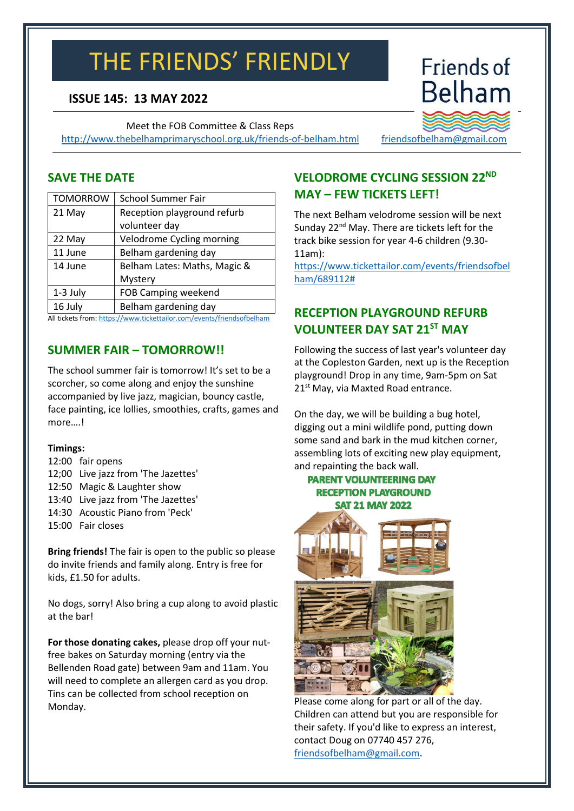# THE FRIENDS' FRIENDLY

# **ISSUE 145: 13 MAY 2022**

Meet the FOB Committee & Class Reps <http://www.thebelhamprimaryschool.org.uk/friends-of-belham.html>

# **Belham Contact us**

**Friends of** 

[friendsofbelham@gmail.com](mailto:friendsofbelham@gmail.com)

#### **SAVE THE DATE**

| <b>TOMORROW</b>                                                      | <b>School Summer Fair</b>    |  |
|----------------------------------------------------------------------|------------------------------|--|
| 21 May                                                               | Reception playground refurb  |  |
|                                                                      | volunteer day                |  |
| 22 May                                                               | Velodrome Cycling morning    |  |
| 11 June                                                              | Belham gardening day         |  |
| 14 June                                                              | Belham Lates: Maths, Magic & |  |
|                                                                      | Mystery                      |  |
| 1-3 July                                                             | FOB Camping weekend          |  |
| 16 July                                                              | Belham gardening day         |  |
| All tickate from https://www.tickattailor.com/ovente/friendsafholbam |                              |  |

All tickets from: <u>https://www.tickettailor.com/events/friendsofbelham</u>

# **SUMMER FAIR – TOMORROW!!**

The school summer fair is tomorrow! It's set to be a scorcher, so come along and enjoy the sunshine accompanied by live jazz, magician, bouncy castle, face painting, ice lollies, smoothies, crafts, games and more….!

#### **Timings:**

- 12:00 fair opens
- 12;00 Live jazz from 'The Jazettes'
- 12:50 Magic & Laughter show
- 13:40 Live jazz from 'The Jazettes'
- 14:30 Acoustic Piano from 'Peck'
- 15:00 Fair closes

**Bring friends!** The fair is open to the public so please do invite friends and family along. Entry is free for kids, £1.50 for adults.

No dogs, sorry! Also bring a cup along to avoid plastic at the bar!

**For those donating cakes,** please drop off your nutfree bakes on Saturday morning (entry via the Bellenden Road gate) between 9am and 11am. You will need to complete an allergen card as you drop. Tins can be collected from school reception on Monday.

# **VELODROME CYCLING SESSION 22ND MAY – FEW TICKETS LEFT!**

The next Belham velodrome session will be next Sunday 22<sup>nd</sup> May. There are tickets left for the track bike session for year 4-6 children (9.30- 11am):

[https://www.tickettailor.com/events/friendsofbel](https://www.tickettailor.com/events/friendsofbelham/689112) [ham/689112#](https://www.tickettailor.com/events/friendsofbelham/689112)

# **RECEPTION PLAYGROUND REFURB VOLUNTEER DAY SAT 21ST MAY**

Following the success of last year's volunteer day at the Copleston Garden, next up is the Reception playground! Drop in any time, 9am-5pm on Sat 21<sup>st</sup> May, via Maxted Road entrance.

On the day, we will be building a bug hotel, digging out a mini wildlife pond, putting down some sand and bark in the mud kitchen corner, assembling lots of exciting new play equipment, and repainting the back wall.

#### **PARENT VOLUNTEERING DAY RECEPTION PLAYGROUND SAT 21 MAY 2022**



Please come along for part or all of the day. Children can attend but you are responsible for their safety. If you'd like to express an interest, contact Doug on 07740 457 276, [friendsofbelham@gmail.com.](mailto:friendsofbelham@gmail.com)